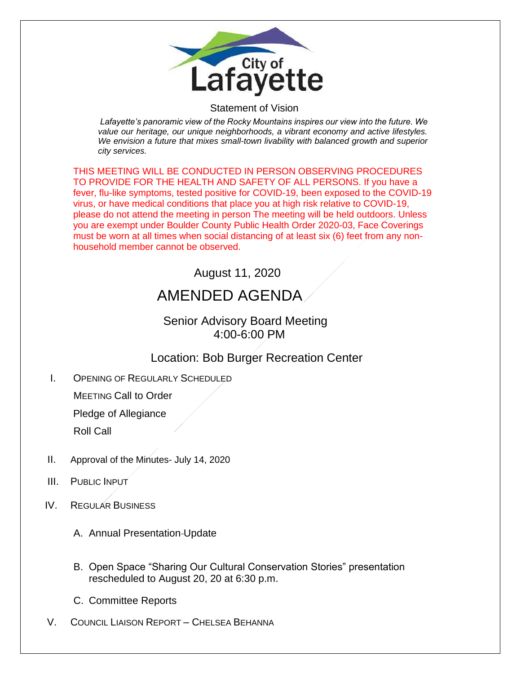

#### Statement of Vision

*Lafayette's panoramic view of the Rocky Mountains inspires our view into the future. We value our heritage, our unique neighborhoods, a vibrant economy and active lifestyles. We envision a future that mixes small-town livability with balanced growth and superior city services.*

THIS MEETING WILL BE CONDUCTED IN PERSON OBSERVING PROCEDURES TO PROVIDE FOR THE HEALTH AND SAFETY OF ALL PERSONS. If you have a fever, flu-like symptoms, tested positive for COVID-19, been exposed to the COVID-19 virus, or have medical conditions that place you at high risk relative to COVID-19, please do not attend the meeting in person The meeting will be held outdoors. Unless you are exempt under Boulder County Public Health Order 2020-03, Face Coverings must be worn at all times when social distancing of at least six (6) feet from any nonhousehold member cannot be observed.

# August 11, 2020

# AMENDED AGENDA

### Senior Advisory Board Meeting 4:00-6:00 PM

## Location: Bob Burger Recreation Center

I. OPENING OF REGULARLY SCHEDULED

MEETING Call to Order

Pledge of Allegiance

Roll Call

- II. Approval of the Minutes- July 14, 2020
- III. PUBLIC INPUT
- IV. REGULAR BUSINESS
	- A. Annual Presentation Update
	- B. Open Space "Sharing Our Cultural Conservation Stories" presentation rescheduled to August 20, 20 at 6:30 p.m.
	- C. Committee Reports
- V. COUNCIL LIAISON REPORT CHELSEA BEHANNA